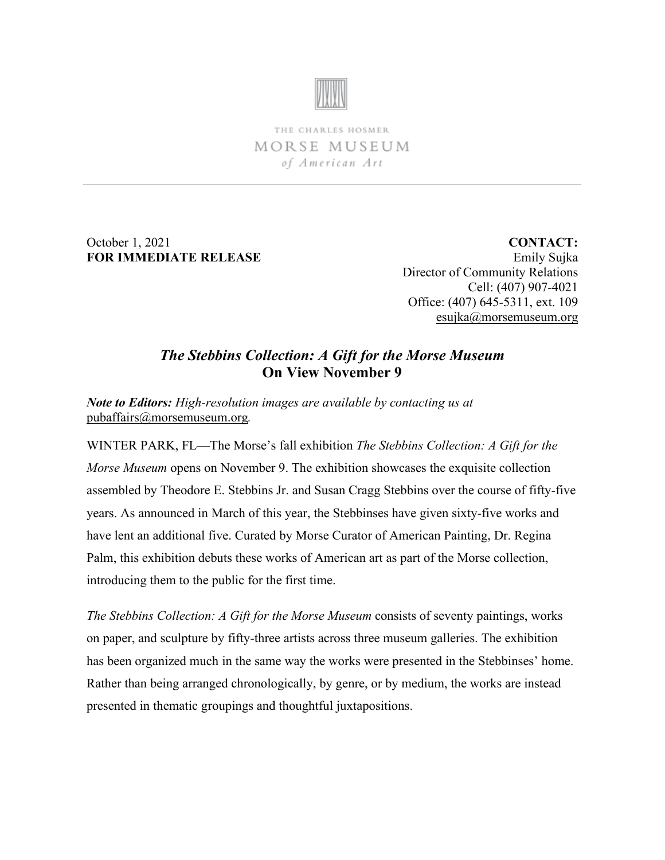

THE CHARLES HOSMER MORSE MUSEUM of American Art

October 1, 2021 **FOR IMMEDIATE RELEASE**

**CONTACT:** Emily Sujka Director of Community Relations Cell: (407) 907-4021 Office: (407) 645-5311, ext. 109 [esujka@morsemuseum.org](mailto:esujka@morsemuseum.org)

## *The Stebbins Collection: A Gift for the Morse Museum* **On View November 9**

*Note to Editors: High-resolution images are available by contacting us at*  [pubaffairs@morsemuseum.org](mailto:pubaffairs@morsemuseum.org)*.*

WINTER PARK, FL—The Morse's fall exhibition *The Stebbins Collection: A Gift for the Morse Museum* opens on November 9. The exhibition showcases the exquisite collection assembled by Theodore E. Stebbins Jr. and Susan Cragg Stebbins over the course of fifty-five years. As announced in March of this year, the Stebbinses have given sixty-five works and have lent an additional five. Curated by Morse Curator of American Painting, Dr. Regina Palm, this exhibition debuts these works of American art as part of the Morse collection, introducing them to the public for the first time.

*The Stebbins Collection: A Gift for the Morse Museum* consists of seventy paintings, works on paper, and sculpture by fifty-three artists across three museum galleries. The exhibition has been organized much in the same way the works were presented in the Stebbinses' home. Rather than being arranged chronologically, by genre, or by medium, the works are instead presented in thematic groupings and thoughtful juxtapositions.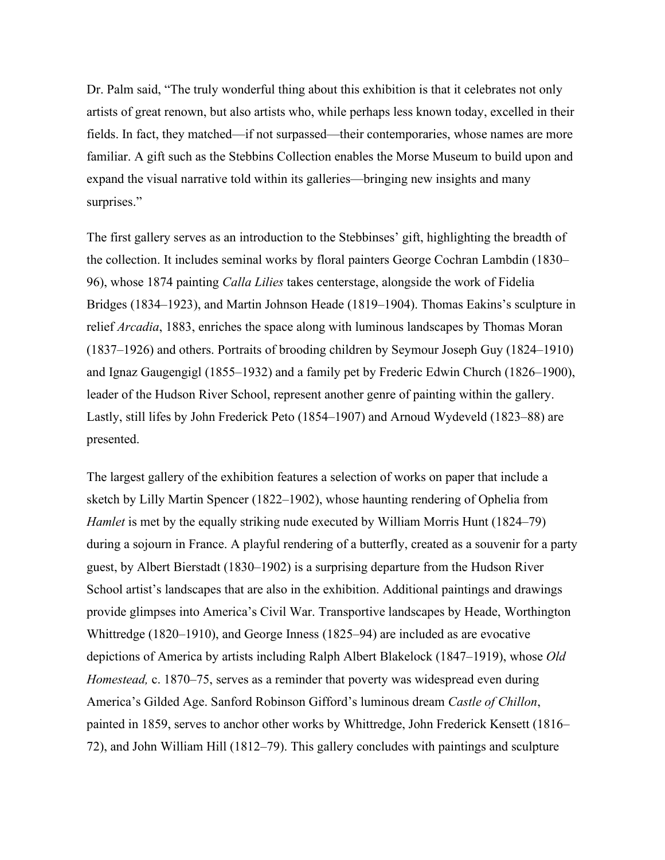Dr. Palm said, "The truly wonderful thing about this exhibition is that it celebrates not only artists of great renown, but also artists who, while perhaps less known today, excelled in their fields. In fact, they matched—if not surpassed—their contemporaries, whose names are more familiar. A gift such as the Stebbins Collection enables the Morse Museum to build upon and expand the visual narrative told within its galleries—bringing new insights and many surprises."

The first gallery serves as an introduction to the Stebbinses' gift, highlighting the breadth of the collection. It includes seminal works by floral painters George Cochran Lambdin (1830– 96), whose 1874 painting *Calla Lilies* takes centerstage, alongside the work of Fidelia Bridges (1834–1923), and Martin Johnson Heade (1819–1904). Thomas Eakins's sculpture in relief *Arcadia*, 1883, enriches the space along with luminous landscapes by Thomas Moran (1837–1926) and others. Portraits of brooding children by Seymour Joseph Guy (1824–1910) and Ignaz Gaugengigl (1855–1932) and a family pet by Frederic Edwin Church (1826–1900), leader of the Hudson River School, represent another genre of painting within the gallery. Lastly, still lifes by John Frederick Peto (1854–1907) and Arnoud Wydeveld (1823–88) are presented.

The largest gallery of the exhibition features a selection of works on paper that include a sketch by Lilly Martin Spencer (1822–1902), whose haunting rendering of Ophelia from *Hamlet* is met by the equally striking nude executed by William Morris Hunt (1824–79) during a sojourn in France. A playful rendering of a butterfly, created as a souvenir for a party guest, by Albert Bierstadt (1830–1902) is a surprising departure from the Hudson River School artist's landscapes that are also in the exhibition. Additional paintings and drawings provide glimpses into America's Civil War. Transportive landscapes by Heade, Worthington Whittredge (1820–1910), and George Inness (1825–94) are included as are evocative depictions of America by artists including Ralph Albert Blakelock (1847–1919), whose *Old Homestead,* c. 1870–75, serves as a reminder that poverty was widespread even during America's Gilded Age. Sanford Robinson Gifford's luminous dream *Castle of Chillon*, painted in 1859, serves to anchor other works by Whittredge, John Frederick Kensett (1816– 72), and John William Hill (1812–79). This gallery concludes with paintings and sculpture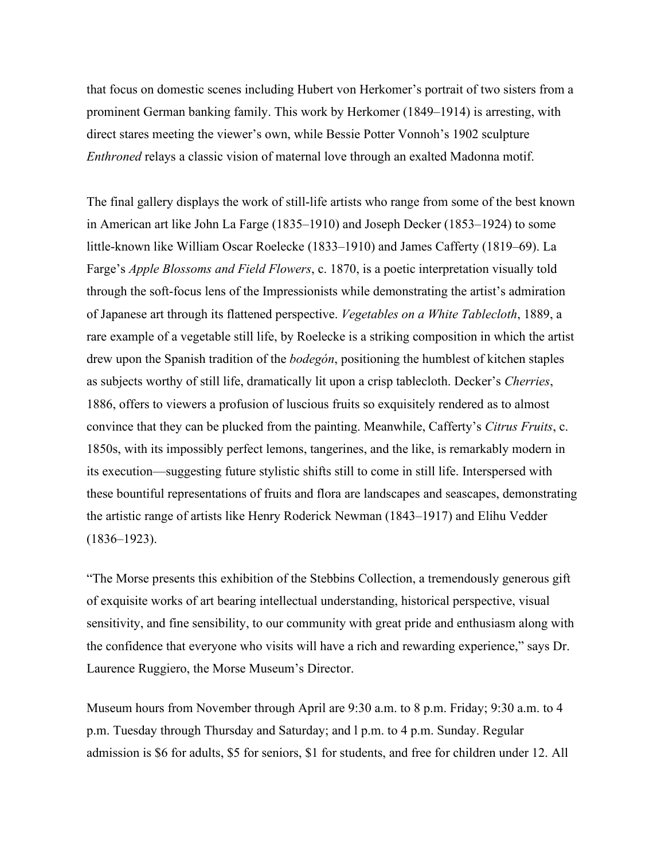that focus on domestic scenes including Hubert von Herkomer's portrait of two sisters from a prominent German banking family. This work by Herkomer (1849–1914) is arresting, with direct stares meeting the viewer's own, while Bessie Potter Vonnoh's 1902 sculpture *Enthroned* relays a classic vision of maternal love through an exalted Madonna motif.

The final gallery displays the work of still-life artists who range from some of the best known in American art like John La Farge (1835–1910) and Joseph Decker (1853–1924) to some little-known like William Oscar Roelecke (1833–1910) and James Cafferty (1819–69). La Farge's *Apple Blossoms and Field Flowers*, c. 1870, is a poetic interpretation visually told through the soft-focus lens of the Impressionists while demonstrating the artist's admiration of Japanese art through its flattened perspective. *Vegetables on a White Tablecloth*, 1889, a rare example of a vegetable still life, by Roelecke is a striking composition in which the artist drew upon the Spanish tradition of the *bodegón*, positioning the humblest of kitchen staples as subjects worthy of still life, dramatically lit upon a crisp tablecloth. Decker's *Cherries*, 1886, offers to viewers a profusion of luscious fruits so exquisitely rendered as to almost convince that they can be plucked from the painting. Meanwhile, Cafferty's *Citrus Fruits*, c. 1850s, with its impossibly perfect lemons, tangerines, and the like, is remarkably modern in its execution—suggesting future stylistic shifts still to come in still life. Interspersed with these bountiful representations of fruits and flora are landscapes and seascapes, demonstrating the artistic range of artists like Henry Roderick Newman (1843–1917) and Elihu Vedder (1836–1923).

"The Morse presents this exhibition of the Stebbins Collection, a tremendously generous gift of exquisite works of art bearing intellectual understanding, historical perspective, visual sensitivity, and fine sensibility, to our community with great pride and enthusiasm along with the confidence that everyone who visits will have a rich and rewarding experience," says Dr. Laurence Ruggiero, the Morse Museum's Director.

Museum hours from November through April are 9:30 a.m. to 8 p.m. Friday; 9:30 a.m. to 4 p.m. Tuesday through Thursday and Saturday; and l p.m. to 4 p.m. Sunday. Regular admission is \$6 for adults, \$5 for seniors, \$1 for students, and free for children under 12. All